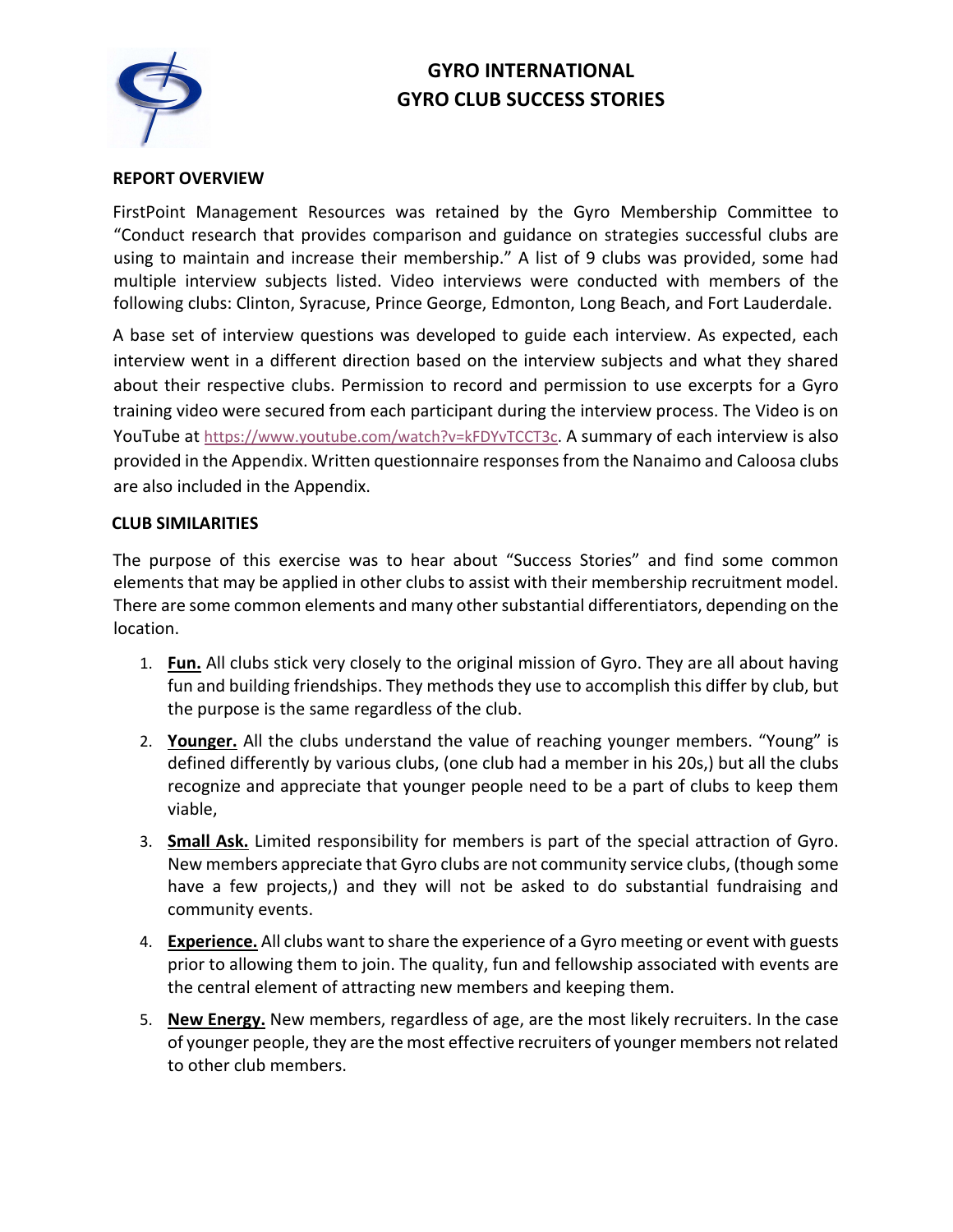# **GYRO INTERNATIONAL GYRO CLUB SUCCESS STORIES**



# **REPORT OVERVIEW**

FirstPoint Management Resources was retained by the Gyro Membership Committee to "Conduct research that provides comparison and guidance on strategies successful clubs are using to maintain and increase their membership." A list of 9 clubs was provided, some had multiple interview subjects listed. Video interviews were conducted with members of the following clubs: Clinton, Syracuse, Prince George, Edmonton, Long Beach, and Fort Lauderdale.

A base set of interview questions was developed to guide each interview. As expected, each interview went in a different direction based on the interview subjects and what they shared about their respective clubs. Permission to record and permission to use excerpts for a Gyro training video were secured from each participant during the interview process. The Video is on YouTube at https://www.youtube.com/watch?v=kFDYvTCCT3c. A summary of each interview is also provided in the Appendix. Written questionnaire responsesfrom the Nanaimo and Caloosa clubs are also included in the Appendix.

# **CLUB SIMILARITIES**

The purpose of this exercise was to hear about "Success Stories" and find some common elements that may be applied in other clubs to assist with their membership recruitment model. There are some common elements and many other substantial differentiators, depending on the location.

- 1. **Fun.** All clubs stick very closely to the original mission of Gyro. They are all about having fun and building friendships. They methods they use to accomplish this differ by club, but the purpose is the same regardless of the club.
- 2. **Younger.** All the clubs understand the value of reaching younger members. "Young" is defined differently by various clubs, (one club had a member in his 20s,) but all the clubs recognize and appreciate that younger people need to be a part of clubs to keep them viable,
- 3. **Small Ask.** Limited responsibility for members is part of the special attraction of Gyro. New members appreciate that Gyro clubs are not community service clubs, (though some have a few projects,) and they will not be asked to do substantial fundraising and community events.
- 4. **Experience.** All clubs want to share the experience of a Gyro meeting or event with guests prior to allowing them to join. The quality, fun and fellowship associated with events are the central element of attracting new members and keeping them.
- 5. **New Energy.** New members, regardless of age, are the most likely recruiters. In the case of younger people, they are the most effective recruiters of younger members not related to other club members.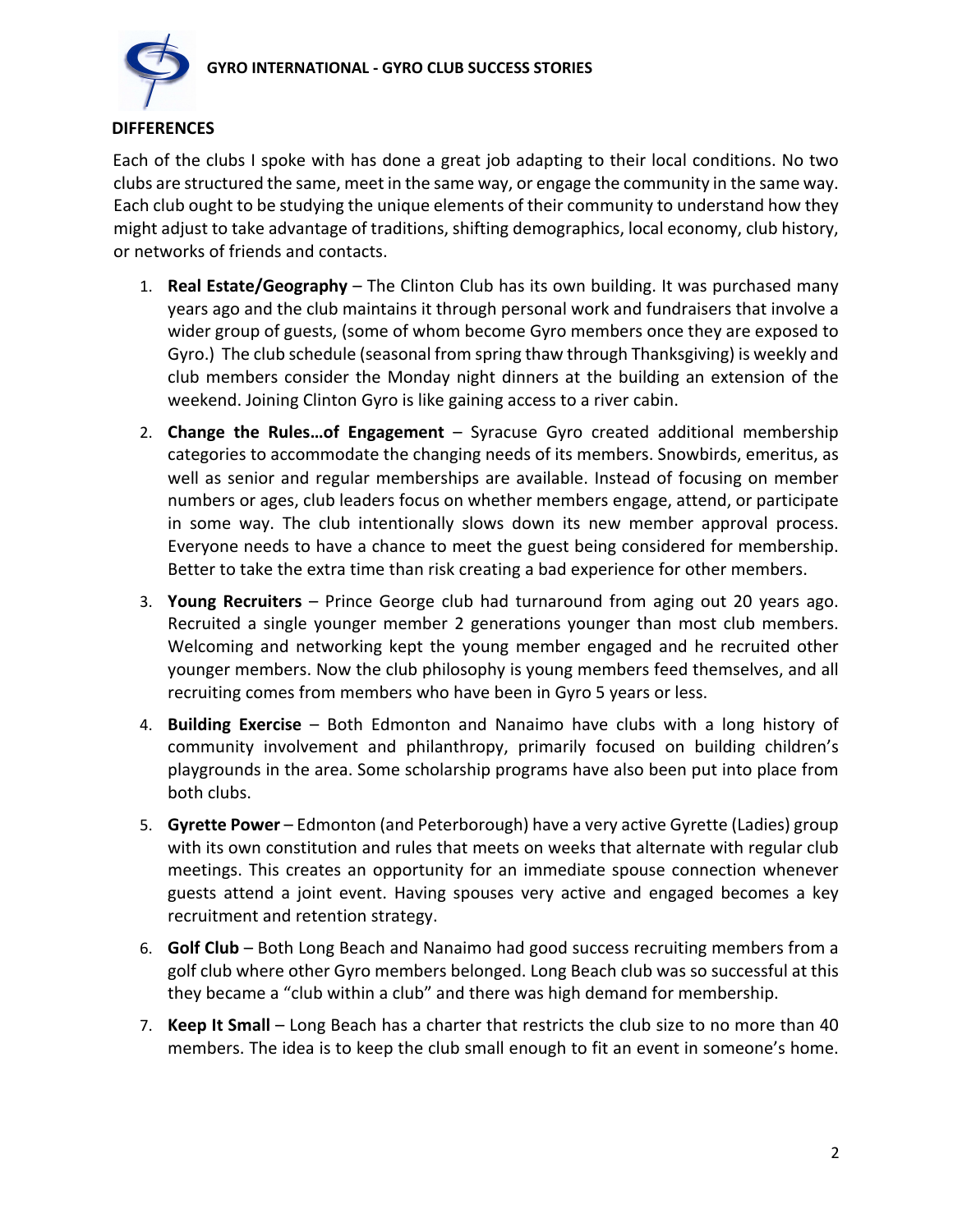

# **DIFFERENCES**

Each of the clubs I spoke with has done a great job adapting to their local conditions. No two clubs are structured the same, meet in the same way, or engage the community in the same way. Each club ought to be studying the unique elements of their community to understand how they might adjust to take advantage of traditions, shifting demographics, local economy, club history, or networks of friends and contacts.

- 1. **Real Estate/Geography** The Clinton Club has its own building. It was purchased many years ago and the club maintains it through personal work and fundraisers that involve a wider group of guests, (some of whom become Gyro members once they are exposed to Gyro.) The club schedule (seasonal from spring thaw through Thanksgiving) is weekly and club members consider the Monday night dinners at the building an extension of the weekend. Joining Clinton Gyro is like gaining access to a river cabin.
- 2. **Change the Rules…of Engagement** Syracuse Gyro created additional membership categories to accommodate the changing needs of its members. Snowbirds, emeritus, as well as senior and regular memberships are available. Instead of focusing on member numbers or ages, club leaders focus on whether members engage, attend, or participate in some way. The club intentionally slows down its new member approval process. Everyone needs to have a chance to meet the guest being considered for membership. Better to take the extra time than risk creating a bad experience for other members.
- 3. **Young Recruiters** Prince George club had turnaround from aging out 20 years ago. Recruited a single younger member 2 generations younger than most club members. Welcoming and networking kept the young member engaged and he recruited other younger members. Now the club philosophy is young members feed themselves, and all recruiting comes from members who have been in Gyro 5 years or less.
- 4. **Building Exercise** Both Edmonton and Nanaimo have clubs with a long history of community involvement and philanthropy, primarily focused on building children's playgrounds in the area. Some scholarship programs have also been put into place from both clubs.
- 5. **Gyrette Power**  Edmonton (and Peterborough) have a very active Gyrette (Ladies) group with its own constitution and rules that meets on weeks that alternate with regular club meetings. This creates an opportunity for an immediate spouse connection whenever guests attend a joint event. Having spouses very active and engaged becomes a key recruitment and retention strategy.
- 6. **Golf Club**  Both Long Beach and Nanaimo had good success recruiting members from a golf club where other Gyro members belonged. Long Beach club was so successful at this they became a "club within a club" and there was high demand for membership.
- 7. **Keep It Small**  Long Beach has a charter that restricts the club size to no more than 40 members. The idea is to keep the club small enough to fit an event in someone's home.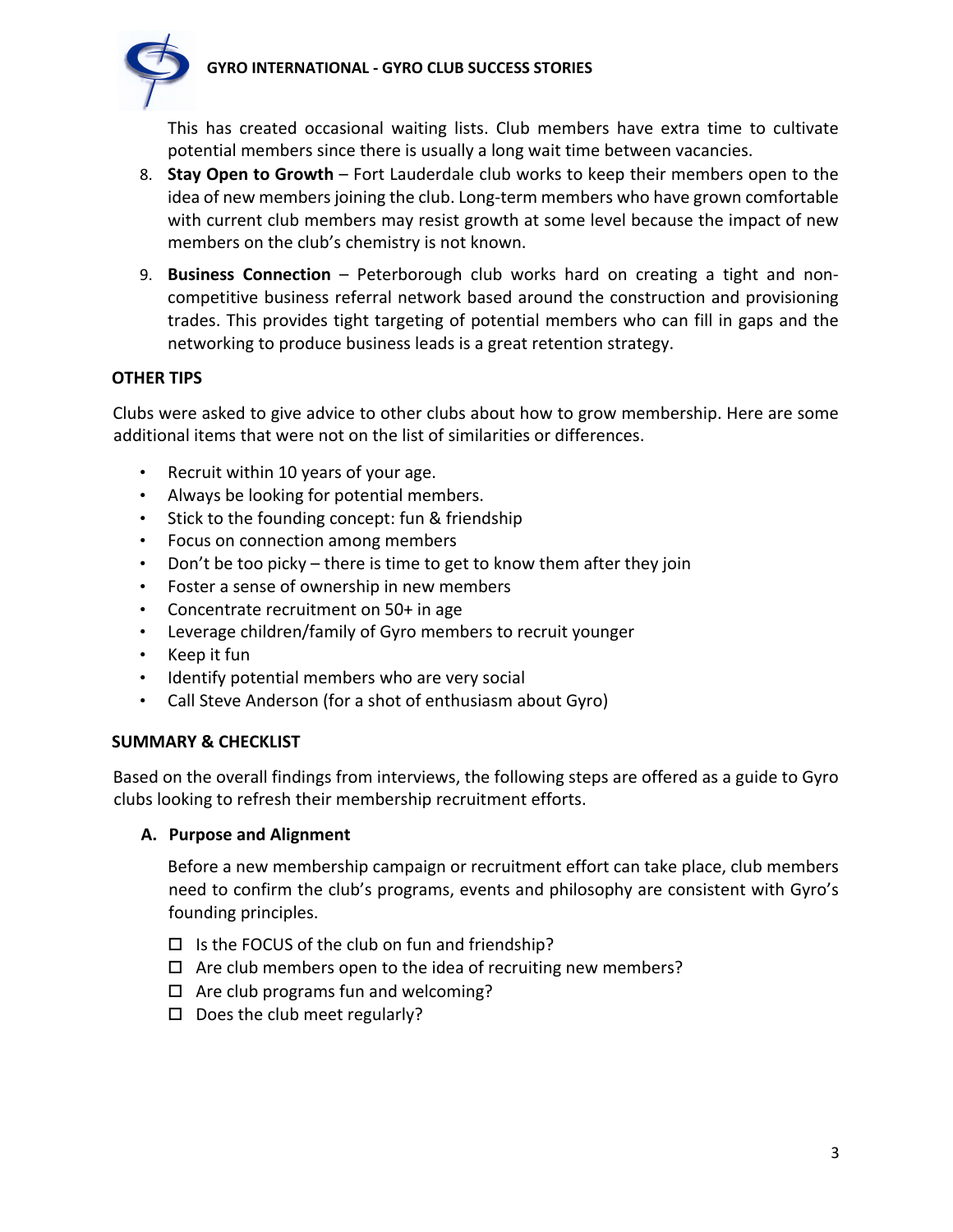# **GYRO INTERNATIONAL - GYRO CLUB SUCCESS STORIES**



This has created occasional waiting lists. Club members have extra time to cultivate potential members since there is usually a long wait time between vacancies.

- 8. **Stay Open to Growth**  Fort Lauderdale club works to keep their members open to the idea of new members joining the club. Long-term members who have grown comfortable with current club members may resist growth at some level because the impact of new members on the club's chemistry is not known.
- 9. **Business Connection**  Peterborough club works hard on creating a tight and noncompetitive business referral network based around the construction and provisioning trades. This provides tight targeting of potential members who can fill in gaps and the networking to produce business leads is a great retention strategy.

#### **OTHER TIPS**

Clubs were asked to give advice to other clubs about how to grow membership. Here are some additional items that were not on the list of similarities or differences.

- Recruit within 10 years of your age.
- Always be looking for potential members.
- Stick to the founding concept: fun & friendship
- Focus on connection among members
- Don't be too picky there is time to get to know them after they join
- Foster a sense of ownership in new members
- Concentrate recruitment on 50+ in age
- Leverage children/family of Gyro members to recruit younger
- Keep it fun
- Identify potential members who are very social
- Call Steve Anderson (for a shot of enthusiasm about Gyro)

#### **SUMMARY & CHECKLIST**

Based on the overall findings from interviews, the following steps are offered as a guide to Gyro clubs looking to refresh their membership recruitment efforts.

#### **A. Purpose and Alignment**

Before a new membership campaign or recruitment effort can take place, club members need to confirm the club's programs, events and philosophy are consistent with Gyro's founding principles.

- $\square$  Is the FOCUS of the club on fun and friendship?
- $\Box$  Are club members open to the idea of recruiting new members?
- $\Box$  Are club programs fun and welcoming?
- $\square$  Does the club meet regularly?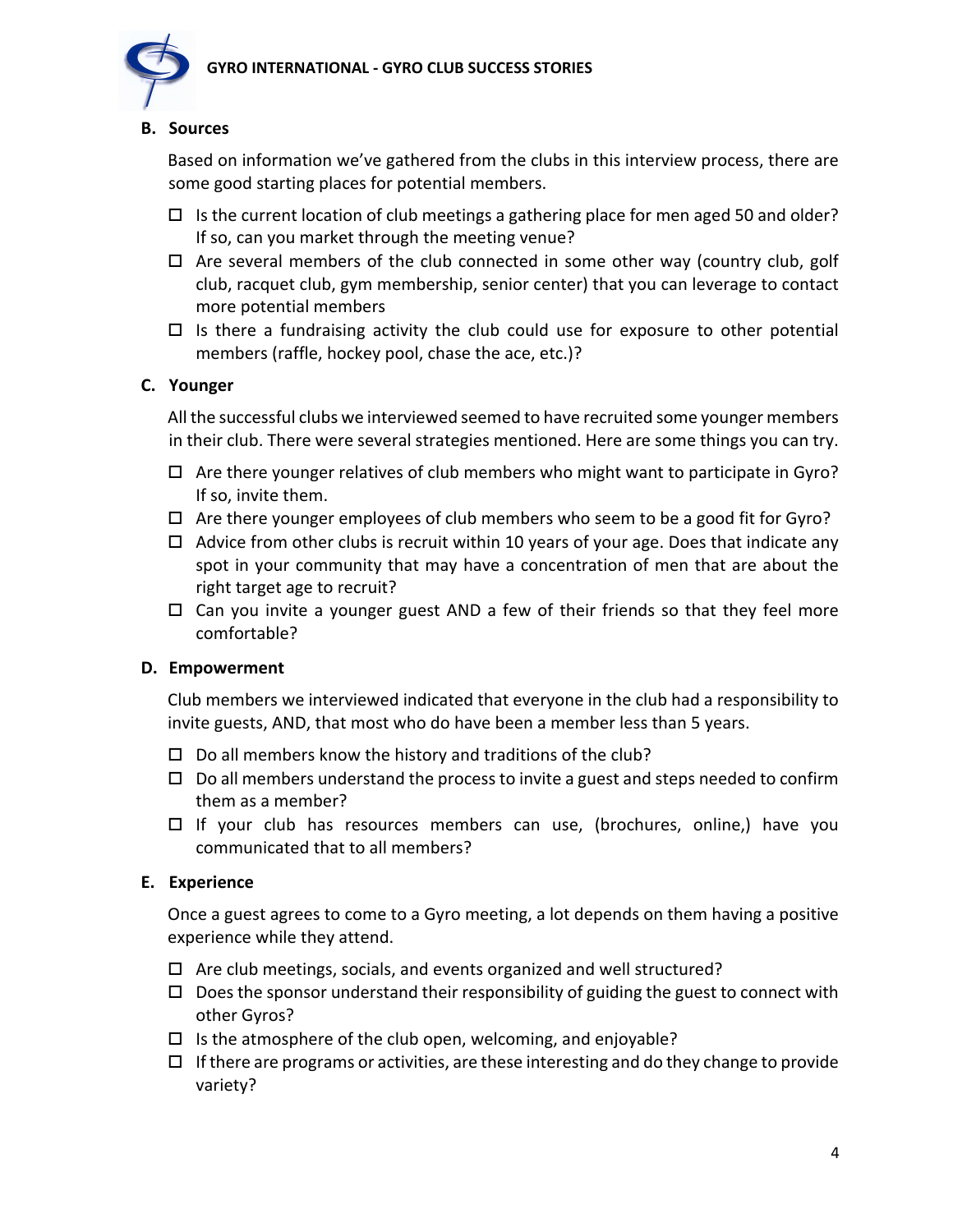

#### **B. Sources**

Based on information we've gathered from the clubs in this interview process, there are some good starting places for potential members.

- $\Box$  Is the current location of club meetings a gathering place for men aged 50 and older? If so, can you market through the meeting venue?
- $\Box$  Are several members of the club connected in some other way (country club, golf club, racquet club, gym membership, senior center) that you can leverage to contact more potential members
- $\Box$  Is there a fundraising activity the club could use for exposure to other potential members (raffle, hockey pool, chase the ace, etc.)?

# **C. Younger**

All the successful clubs we interviewed seemed to have recruited some younger members in their club. There were several strategies mentioned. Here are some things you can try.

- $\Box$  Are there younger relatives of club members who might want to participate in Gyro? If so, invite them.
- $\Box$  Are there younger employees of club members who seem to be a good fit for Gyro?
- $\Box$  Advice from other clubs is recruit within 10 years of your age. Does that indicate any spot in your community that may have a concentration of men that are about the right target age to recruit?
- $\Box$  Can you invite a younger guest AND a few of their friends so that they feel more comfortable?

#### **D. Empowerment**

Club members we interviewed indicated that everyone in the club had a responsibility to invite guests, AND, that most who do have been a member less than 5 years.

- $\Box$  Do all members know the history and traditions of the club?
- $\Box$  Do all members understand the process to invite a guest and steps needed to confirm them as a member?
- $\Box$  If your club has resources members can use, (brochures, online,) have you communicated that to all members?

#### **E. Experience**

Once a guest agrees to come to a Gyro meeting, a lot depends on them having a positive experience while they attend.

- $\Box$  Are club meetings, socials, and events organized and well structured?
- $\Box$  Does the sponsor understand their responsibility of guiding the guest to connect with other Gyros?
- $\Box$  Is the atmosphere of the club open, welcoming, and enjoyable?
- $\Box$  If there are programs or activities, are these interesting and do they change to provide variety?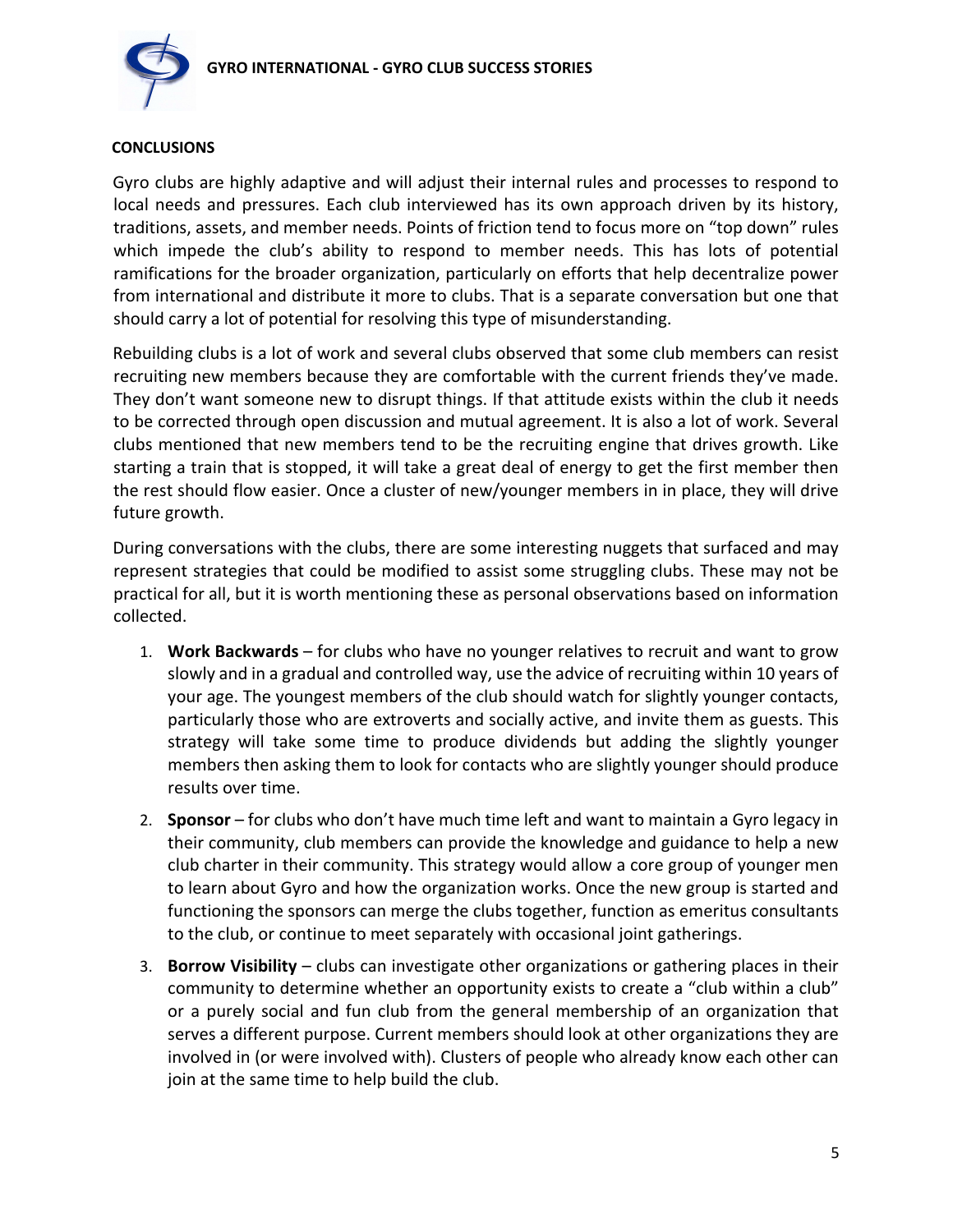



# **CONCLUSIONS**

Gyro clubs are highly adaptive and will adjust their internal rules and processes to respond to local needs and pressures. Each club interviewed has its own approach driven by its history, traditions, assets, and member needs. Points of friction tend to focus more on "top down" rules which impede the club's ability to respond to member needs. This has lots of potential ramifications for the broader organization, particularly on efforts that help decentralize power from international and distribute it more to clubs. That is a separate conversation but one that should carry a lot of potential for resolving this type of misunderstanding.

Rebuilding clubs is a lot of work and several clubs observed that some club members can resist recruiting new members because they are comfortable with the current friends they've made. They don't want someone new to disrupt things. If that attitude exists within the club it needs to be corrected through open discussion and mutual agreement. It is also a lot of work. Several clubs mentioned that new members tend to be the recruiting engine that drives growth. Like starting a train that is stopped, it will take a great deal of energy to get the first member then the rest should flow easier. Once a cluster of new/younger members in in place, they will drive future growth.

During conversations with the clubs, there are some interesting nuggets that surfaced and may represent strategies that could be modified to assist some struggling clubs. These may not be practical for all, but it is worth mentioning these as personal observations based on information collected.

- 1. **Work Backwards** for clubs who have no younger relatives to recruit and want to grow slowly and in a gradual and controlled way, use the advice of recruiting within 10 years of your age. The youngest members of the club should watch for slightly younger contacts, particularly those who are extroverts and socially active, and invite them as guests. This strategy will take some time to produce dividends but adding the slightly younger members then asking them to look for contacts who are slightly younger should produce results over time.
- 2. **Sponsor**  for clubs who don't have much time left and want to maintain a Gyro legacy in their community, club members can provide the knowledge and guidance to help a new club charter in their community. This strategy would allow a core group of younger men to learn about Gyro and how the organization works. Once the new group is started and functioning the sponsors can merge the clubs together, function as emeritus consultants to the club, or continue to meet separately with occasional joint gatherings.
- 3. **Borrow Visibility** clubs can investigate other organizations or gathering places in their community to determine whether an opportunity exists to create a "club within a club" or a purely social and fun club from the general membership of an organization that serves a different purpose. Current members should look at other organizations they are involved in (or were involved with). Clusters of people who already know each other can join at the same time to help build the club.